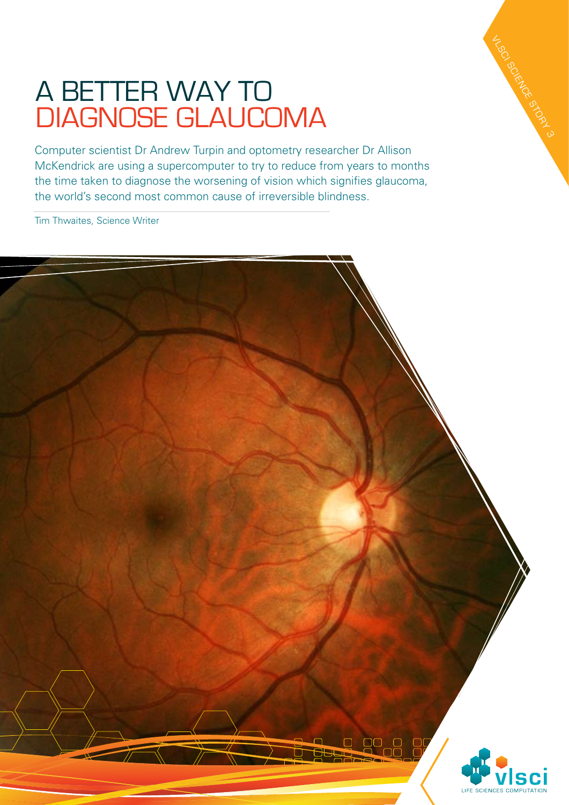## A BETTER WAY TO diagnose glaucoma

Computer scientist Dr Andrew Turpin and optometry researcher Dr Allison McKendrick are using a supercomputer to try to reduce from years to months the time taken to diagnose the worsening of vision which signifies glaucoma, the world's second most common cause of irreversible blindness.

Tim Thwaites, Science Writer



VLSC SCIENCE STORY 3